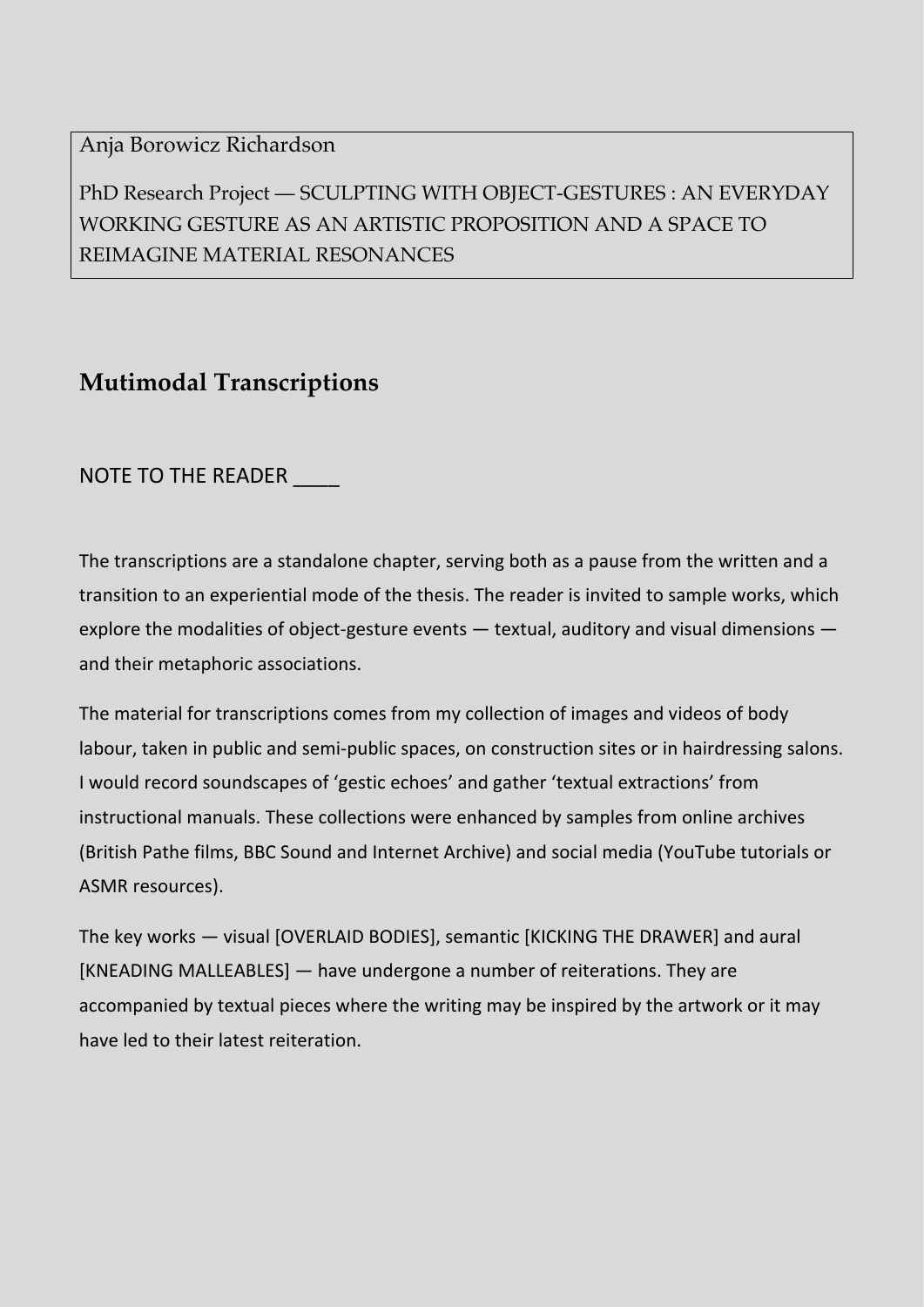### Anja Borowicz Richardson

PhD Research Project — SCULPTING WITH OBJECT-GESTURES : AN EVERYDAY WORKING GESTURE AS AN ARTISTIC PROPOSITION AND A SPACE TO REIMAGINE MATERIAL RESONANCES

# **Mutimodal Transcriptions**

NOTE TO THE READER

The transcriptions are a standalone chapter, serving both as a pause from the written and a transition to an experiential mode of the thesis. The reader is invited to sample works, which explore the modalities of object-gesture events — textual, auditory and visual dimensions and their metaphoric associations.

The material for transcriptions comes from my collection of images and videos of body labour, taken in public and semi-public spaces, on construction sites or in hairdressing salons. I would record soundscapes of 'gestic echoes' and gather 'textual extractions' from instructional manuals. These collections were enhanced by samples from online archives (British Pathe films, BBC Sound and Internet Archive) and social media (YouTube tutorials or ASMR resources).

The key works — visual [OVERLAID BODIES], semantic [KICKING THE DRAWER] and aural [KNEADING MALLEABLES] — have undergone a number of reiterations. They are accompanied by textual pieces where the writing may be inspired by the artwork or it may have led to their latest reiteration.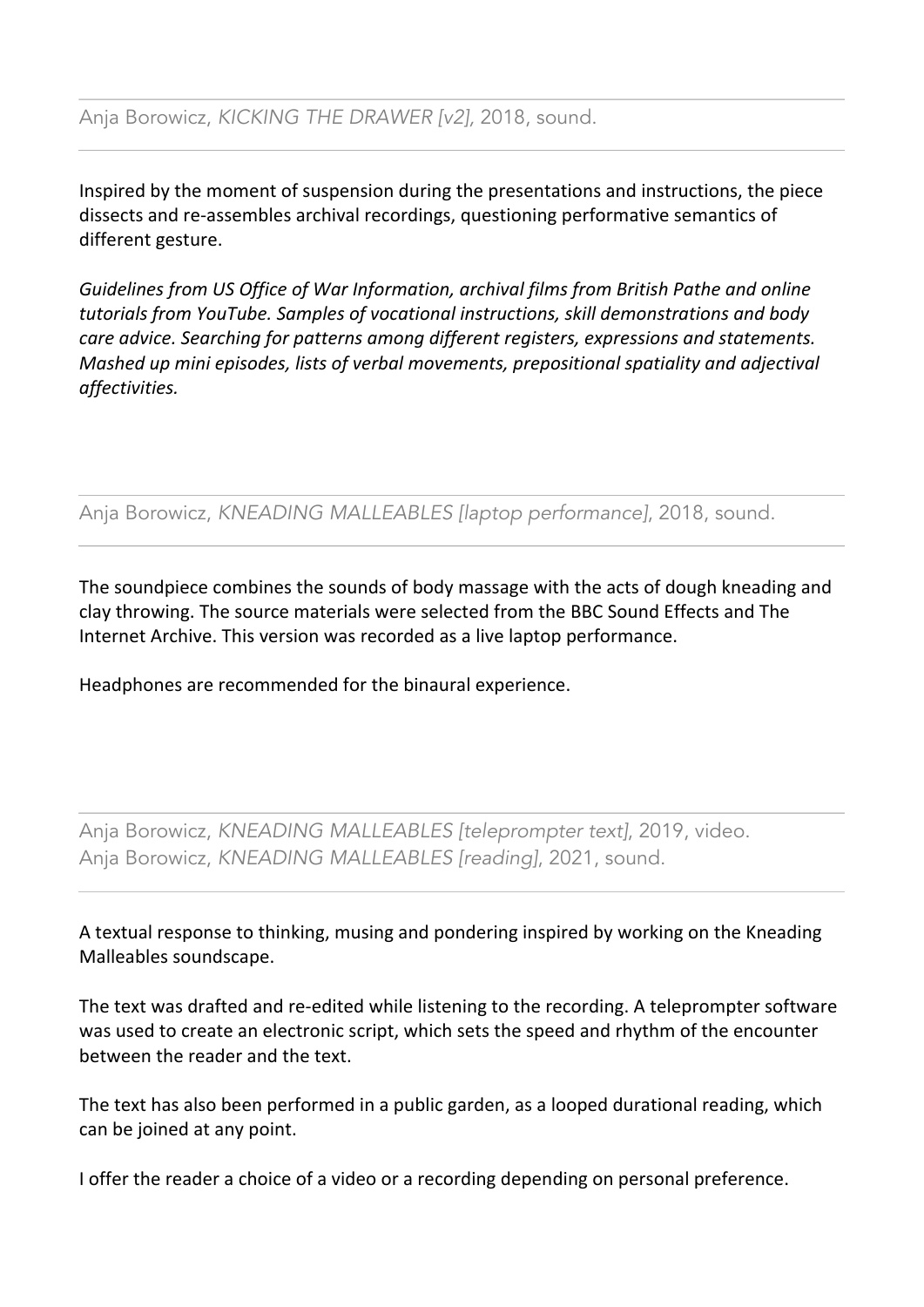Inspired by the moment of suspension during the presentations and instructions, the piece dissects and re-assembles archival recordings, questioning performative semantics of different gesture.

*Guidelines from US Office of War Information, archival films from British Pathe and online tutorials from YouTube. Samples of vocational instructions, skill demonstrations and body care advice. Searching for patterns among different registers, expressions and statements. Mashed up mini episodes, lists of verbal movements, prepositional spatiality and adjectival affectivities.*

Anja Borowicz, *KNEADING MALLEABLES [laptop performance]*, 2018, sound.

The soundpiece combines the sounds of body massage with the acts of dough kneading and clay throwing. The source materials were selected from the BBC Sound Effects and The Internet Archive. This version was recorded as a live laptop performance.

Headphones are recommended for the binaural experience.

Anja Borowicz, *KNEADING MALLEABLES [teleprompter text]*, 2019, video. Anja Borowicz, *KNEADING MALLEABLES [reading]*, 2021, sound.

A textual response to thinking, musing and pondering inspired by working on the Kneading Malleables soundscape.

The text was drafted and re-edited while listening to the recording. A teleprompter software was used to create an electronic script, which sets the speed and rhythm of the encounter between the reader and the text.

The text has also been performed in a public garden, as a looped durational reading, which can be joined at any point.

I offer the reader a choice of a video or a recording depending on personal preference.